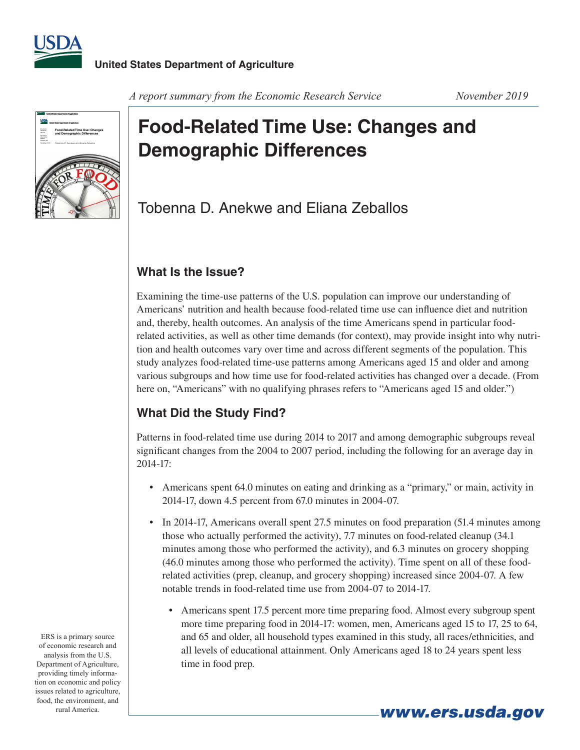



#### *A report summary from the Economic Research Service* November 2019

# **Food-Related Time Use: Changes and Demographic Differences**

# Tobenna D. Anekwe and Eliana Zeballos

### **What Is the Issue?**

Examining the time-use patterns of the U.S. population can improve our understanding of Americans' nutrition and health because food-related time use can influence diet and nutrition and, thereby, health outcomes. An analysis of the time Americans spend in particular foodrelated activities, as well as other time demands (for context), may provide insight into why nutrition and health outcomes vary over time and across different segments of the population. This study analyzes food-related time-use patterns among Americans aged 15 and older and among various subgroups and how time use for food-related activities has changed over a decade. (From here on, "Americans" with no qualifying phrases refers to "Americans aged 15 and older.")

## **What Did the Study Find?**

Patterns in food-related time use during 2014 to 2017 and among demographic subgroups reveal significant changes from the 2004 to 2007 period, including the following for an average day in 2014-17:

- Americans spent 64.0 minutes on eating and drinking as a "primary," or main, activity in 2014-17, down 4.5 percent from 67.0 minutes in 2004-07.
- In 2014-17, Americans overall spent 27.5 minutes on food preparation (51.4 minutes among those who actually performed the activity), 7.7 minutes on food-related cleanup (34.1 minutes among those who performed the activity), and 6.3 minutes on grocery shopping (46.0 minutes among those who performed the activity). Time spent on all of these foodrelated activities (prep, cleanup, and grocery shopping) increased since 2004-07. A few notable trends in food-related time use from 2004-07 to 2014-17.
	- Americans spent 17.5 percent more time preparing food. Almost every subgroup spent more time preparing food in 2014-17: women, men, Americans aged 15 to 17, 25 to 64, and 65 and older, all household types examined in this study, all races/ethnicities, and all levels of educational attainment. Only Americans aged 18 to 24 years spent less time in food prep.

ERS is a primary source of economic research and analysis from the U.S. Department of Agriculture, providing timely information on economic and policy issues related to agriculture, food, the environment, and